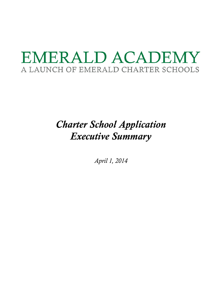# EMERALD ACADEMY A LAUNCH OF EMERALD CHARTER SCHOOLS

## *Charter School Application Executive Summary*

*April 1, 2014*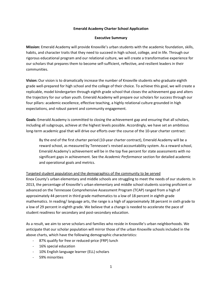#### **Emerald Academy Charter School Application**

#### **Executive Summary**

**Mission:** Emerald Academy will provide Knoxville's urban students with the academic foundation, skills, habits, and character traits that they need to succeed in high school, college, and in life. Through our rigorous educational program and our relational culture, we will create a transformative experience for our scholars that prepares them to become self-sufficient, reflective, and resilient leaders in their communities.

**Vision:** Our vision is to dramatically increase the number of Knoxville students who graduate eighth grade well-prepared for high school and the college of their choice. To achieve this goal, we will create a replicable, model kindergarten through eighth grade school that closes the achievement gap and alters the trajectory for our urban youth. Emerald Academy will prepare our scholars for success through our four pillars: academic excellence, effective teaching, a highly relational culture grounded in high expectations, and robust parent and community engagement.

**Goals:** Emerald Academy is committed to closing the achievement gap and ensuring that all scholars, including all subgroups, achieve at the highest levels possible. Accordingly, we have set an ambitious long-term academic goal that will drive our efforts over the course of the 10-year charter contract:

By the end of the first charter period (10-year charter contract), Emerald Academy will be a reward school, as measured by Tennessee's revised accountability system. As a reward school, Emerald Academy's achievement will be in the top five percent for state assessments with no significant gaps in achievement. See the *Academic Performance* section for detailed academic and operational goals and metrics.

#### Targeted student population and the demographics of the community to be served

Knox County's urban elementary and middle schools are struggling to meet the needs of our students. In 2013, the percentage of Knoxville's urban elementary and middle school students scoring proficient or advanced on the Tennessee Comprehensive Assessment Program (TCAP) ranged from a high of approximately 44 percent in third grade mathematics to a low of 18 percent in eighth grade mathematics. In reading/ language arts, the range is a high of approximately 38 percent in sixth grade to a low of 29 percent in eighth grade. We believe that a change is needed to accelerate the pace of student readiness for secondary and post-secondary education.

As a result, we aim to serve scholars and families who reside in Knoxville's urban neighborhoods. We anticipate that our scholar population will mirror those of the urban Knoxville schools included in the above charts, which have the following demographic characteristics:

- 87% qualify for free or reduced-price (FRP) lunch
- 16% special education
- 10% English language learner (ELL) scholars
- 59% minorities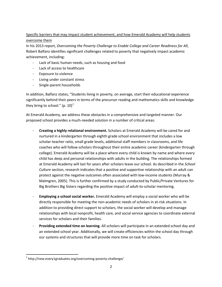### Specific barriers that may impact student achievement, and how Emerald Academy will help students overcome them

In his 2013 report, *Overcoming the Poverty Challenge to Enable College and Career Readiness for All*, Robert Balfanz identifies significant challenges related to poverty that negatively impact academic achievement, including:

- Lack of basic human needs, such as housing and food
- Lack of access to healthcare
- Exposure to violence
- Living under constant stress
- Single-parent households

In addition, Balfanz states, "Students living in poverty, on average, start their educational experience significantly behind their peers in terms of the precursor reading and mathematics skills and knowledge they bring to school."  $(p. 10)^1$  $(p. 10)^1$  $(p. 10)^1$ 

At Emerald Academy, we address these obstacles in a comprehensive and targeted manner. Our proposed school provides a much-needed solution in a number of critical areas:

- **Creating a highly relational environment.** Scholars at Emerald Academy will be cared for and nurtured in a kindergarten through eighth grade school environment that includes a low scholar-teacher ratio, small grade levels, additional staff members in classrooms, and life coaches who will follow scholars throughout their entire academic career (kindergarten through college). Emerald Academy will be a place where every child is known by name and where every child has deep and personal relationships with adults in the building. The relationships formed at Emerald Academy will last for years after scholars leave our school. As described in the *School Culture* section, research indicates that a positive and supportive relationship with an adult can protect against the negative outcomes often associated with low-income students (Murray & Malmgren, 2005). This is further confirmed by a study conducted by Public/Private Ventures for Big Brothers Big Sisters regarding the positive impact of adult-to-scholar mentoring.
- **Employing a school social worker.** Emerald Academy will employ a social worker who will be directly responsible for meeting the non-academic needs of scholars in at-risk situations. In addition to providing direct support to scholars, the social worker will develop and manage relationships with local nonprofit, health care, and social service agencies to coordinate external services for scholars and their families.
- **Providing extended time on learning.** All scholars will participate in an extended school day and an extended school year. Additionally, we will create efficiencies within the school day through our systems and structures that will provide more time on task for scholars.

<span id="page-2-0"></span> $1$  http://new.every1graduates.org/overcoming-poverty-challenge/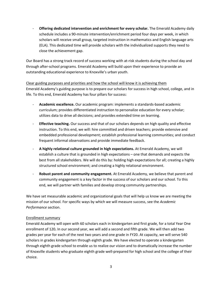- **Offering dedicated intervention and enrichment for every scholar.** The Emerald Academy daily schedule includes a 90-minute intervention/enrichment period four days per week, in which scholars will receive small group, targeted instruction in mathematics and English language arts (ELA). This dedicated time will provide scholars with the individualized supports they need to close the achievement gap.

Our Board has a strong track record of success working with at-risk students during the school day and through after-school programs. Emerald Academy will build upon their experience to provide an outstanding educational experience to Knoxville's urban youth.

#### Clear guiding purposes and priorities and how the school will know it is achieving them

Emerald Academy's guiding purpose is to prepare our scholars for success in high school, college, and in life. To this end, Emerald Academy has four pillars for success:

- **Academic excellence.** Our academic program: implements a standards-based academic curriculum; provides differentiated instruction to personalize education for every scholar; utilizes data to drive all decisions; and provides extended time on learning.
- **Effective teaching.** Our success and that of our scholars depends on high quality and effective instruction. To this end, we will: hire committed and driven teachers; provide extensive and embedded professional development; establish professional learning communities; and conduct frequent informal observations and provide immediate feedback.
- **A highly relational culture grounded in high expectations.** At Emerald Academy, we will establish a culture that is grounded in high expectations – one that demands and expects the best from all stakeholders. We will do this by: holding high expectations for all; creating a highly structured school environment; and creating a highly relational environment.
- **Robust parent and community engagement.** At Emerald Academy, we believe that parent and community engagement is a key factor in the success of our scholars and our school. To this end, we will partner with families and develop strong community partnerships.

We have set measurable academic and organizational goals that will help us know we are meeting the mission of our school. For specific ways by which we will measure success, see the *Academic Performance* section.

#### Enrollment summary

Emerald Academy will open with 60 scholars each in kindergarten and first grade, for a total Year One enrollment of 120**.** In our second year, we will add a second and fifth grade. We will then add two grades per year for each of the next two years and one grade in FY20. At capacity, we will serve 540 scholars in grades kindergarten through eighth grade. We have elected to operate a kindergarten through eighth grade school to enable us to realize our vision and to dramatically increase the number of Knoxville students who graduate eighth grade well-prepared for high school and the college of their choice.